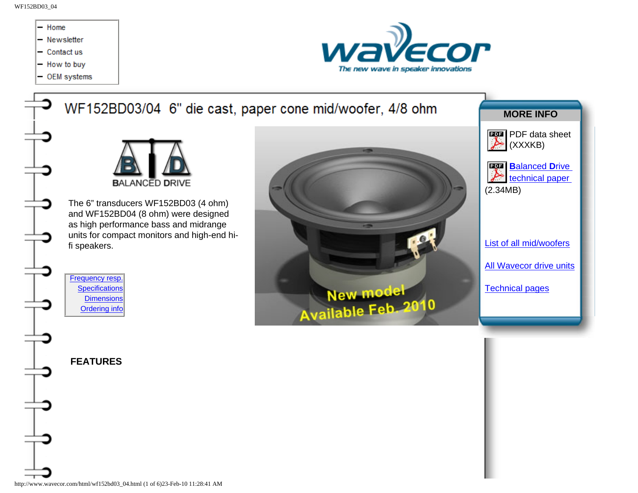WF152BD03\_04



http://www.wavecor.com/html/wf152bd03\_04.html (1 of 6)23-Feb-10 11:28:41 AM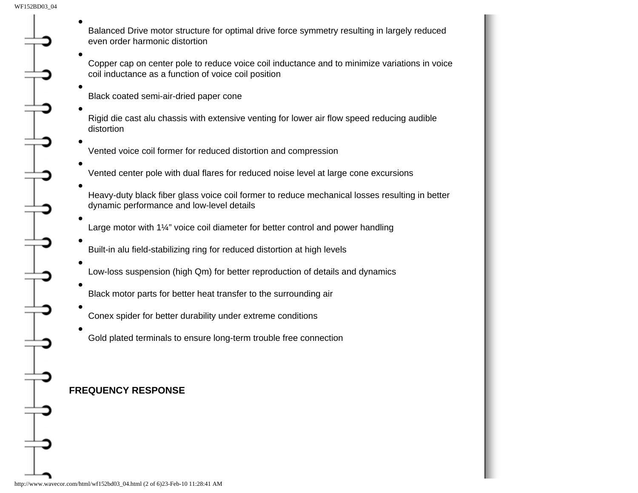<span id="page-1-0"></span>● ● ● ● ● ● ● ● ● ● ● ● ●

Balanced Drive motor structure for optimal drive force symmetry resulting in largely reduced even order harmonic distortion

Copper cap on center pole to reduce voice coil inductance and to minimize variations in voice coil inductance as a function of voice coil position

Black coated semi-air-dried paper cone

Rigid die cast alu chassis with extensive venting for lower air flow speed reducing audible distortion

- Vented voice coil former for reduced distortion and compression
- Vented center pole with dual flares for reduced noise level at large cone excursions
- Heavy-duty black fiber glass voice coil former to reduce mechanical losses resulting in better dynamic performance and low-level details
- Large motor with 1¼" voice coil diameter for better control and power handling
- Built-in alu field-stabilizing ring for reduced distortion at high levels
- Low-loss suspension (high Qm) for better reproduction of details and dynamics
- Black motor parts for better heat transfer to the surrounding air
- Conex spider for better durability under extreme conditions
- Gold plated terminals to ensure long-term trouble free connection

## <span id="page-1-1"></span>**FREQUENCY RESPONSE**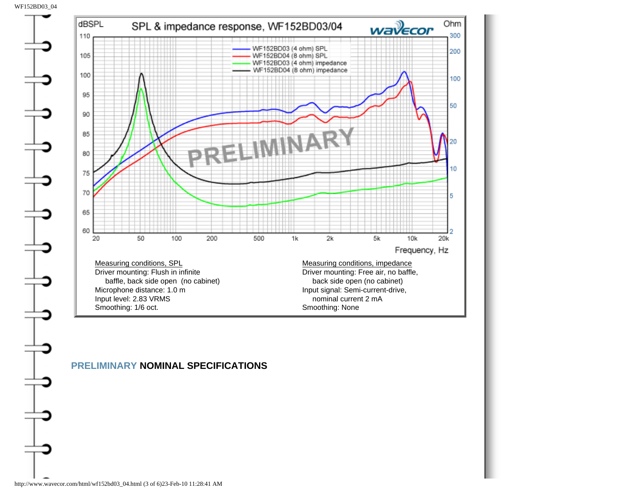WF152BD03\_04

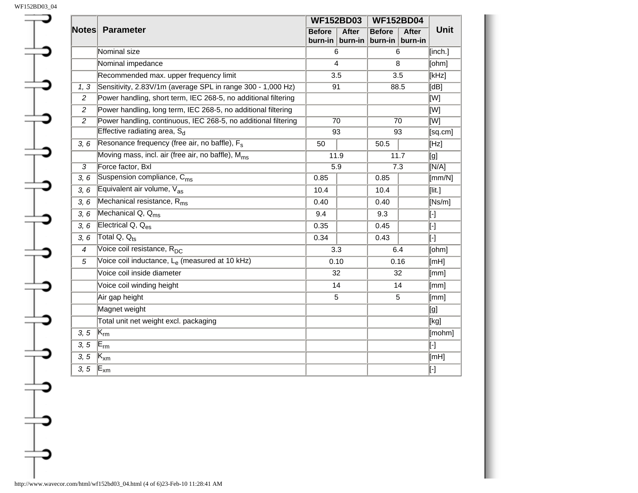<span id="page-3-0"></span>

| <b>Notes</b>   | <b>Parameter</b>                                               | <b>WF152BD03</b>         |                         | <b>WF152BD04</b>           |                         |                 |
|----------------|----------------------------------------------------------------|--------------------------|-------------------------|----------------------------|-------------------------|-----------------|
|                |                                                                | <b>Before</b><br>burn-in | <b>After</b><br>burn-in | <b>Before</b><br>$burn-in$ | <b>After</b><br>burn-in | Unit            |
|                | Nominal size                                                   | 6                        |                         | 6                          |                         | [inch.]         |
|                | Nominal impedance                                              | 4                        |                         | 8                          |                         | [ohm]           |
|                | Recommended max. upper frequency limit                         | 3.5                      |                         | 3.5                        |                         | [kHz]           |
| 1, 3           | Sensitivity, 2.83V/1m (average SPL in range 300 - 1,000 Hz)    | 91                       |                         | 88.5                       |                         | [dB]            |
| $\overline{c}$ | Power handling, short term, IEC 268-5, no additional filtering |                          |                         |                            |                         | [W]             |
| 2              | Power handling, long term, IEC 268-5, no additional filtering  |                          |                         |                            |                         | [W]             |
| $\overline{2}$ | Power handling, continuous, IEC 268-5, no additional filtering | $\overline{70}$          |                         | $\overline{70}$            |                         | <b>MI</b>       |
|                | Effective radiating area, S <sub>d</sub>                       | 93                       |                         | 93                         |                         | [sq.cm]         |
| 3, 6           | Resonance frequency (free air, no baffle), F <sub>s</sub>      | 50                       |                         | 50.5                       |                         | [Hz]            |
|                | Moving mass, incl. air (free air, no baffle), M <sub>ms</sub>  | 11.9                     |                         | 11.7                       |                         | [g]             |
| $\overline{3}$ | Force factor, Bxl                                              | $\overline{5.9}$         |                         | $\overline{7.3}$           |                         | N/A             |
| 3, 6           | Suspension compliance, C <sub>ms</sub>                         | 0.85                     |                         | 0.85                       |                         | $\text{[mm/N]}$ |
| 3, 6           | Equivalent air volume, Vas                                     | 10.4                     |                         | 10.4                       |                         | [lit.]          |
| 3, 6           | Mechanical resistance, R <sub>ms</sub>                         | 0.40                     |                         | 0.40                       |                         | [Ns/m]          |
| 3, 6           | Mechanical $Q, Q_{\text{ms}}$                                  | 9.4                      |                         | 9.3                        |                         | $\mathsf{F}$    |
| 3, 6           | Electrical $Q, Q_{\text{es}}$                                  | 0.35                     |                         | 0.45                       |                         | $\mathsf{L}$    |
| 3, 6           | Total Q, $Q_{\text{te}}$                                       | 0.34                     |                         | 0.43                       |                         | ŀ1              |
| $\overline{4}$ | Voice coil resistance, R <sub>DC</sub>                         | 3.3                      |                         | 6.4                        |                         | [ohm]           |
| 5              | Voice coil inductance, Le (measured at 10 kHz)                 | 0.10                     |                         | 0.16                       |                         | [TH]            |
|                | Voice coil inside diameter                                     | 32                       |                         | 32                         |                         | [mm]            |
|                | Voice coil winding height                                      | 14                       |                         | 14                         |                         | $\sqrt{mm}$     |
|                | Air gap height                                                 | $\overline{5}$           |                         | 5                          |                         | [mm]            |
|                | Magnet weight                                                  |                          |                         |                            |                         | [g]             |
|                | Total unit net weight excl. packaging                          |                          |                         |                            |                         | [kg]            |
| 3, 5           | $ \mathsf{K}_{\mathsf{rm}} $                                   |                          |                         |                            |                         | [mohm]          |
| 3, 5           | $\mathsf{E}_{\mathsf{rm}}$                                     |                          |                         |                            |                         | $\mathsf{F}$    |
| 3, 5           | $\mathsf{K}_{\mathsf{x}\mathsf{m}}$                            |                          |                         |                            |                         | [TH]            |
| 3, 5           | $E_{xm}$                                                       |                          |                         |                            |                         | $\mathbb{F}$    |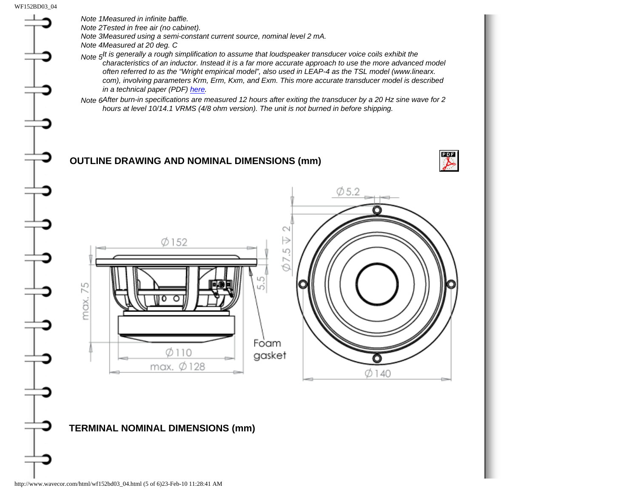<span id="page-4-0"></span>